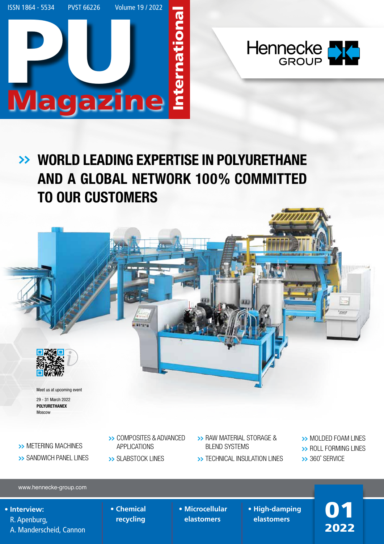



# WORLD LEADING EXPERTISE IN POLYURETHANE **>>** AND A GLOBAL NETWORK 100% COMMITTED TO OUR CUSTOMERS



Moscow

**>>** METERING MACHINES **>>** SANDWICH PANEL LINES

- **>>** COMPOSITES & ADVANCED APPLICATIONS
- **>>** SLABSTOCK LINES
- **>>** RAW MATERIAL STORAGE & BLEND SYSTEMS
- **>>** TECHNICAL INSULATION LINES
- **>>** MOLDED FOAM LINES **>>** ROLL FORMING LINES

2022

**>>** 360˚ SERVICE

www.hennecke-group.com

## **• Interview:** R. Apenburg, A. Manderscheid, Cannon

- **Chemical recycling**
- **Microcellular elastomers**
- **High-damping High-damping**<br>elastomers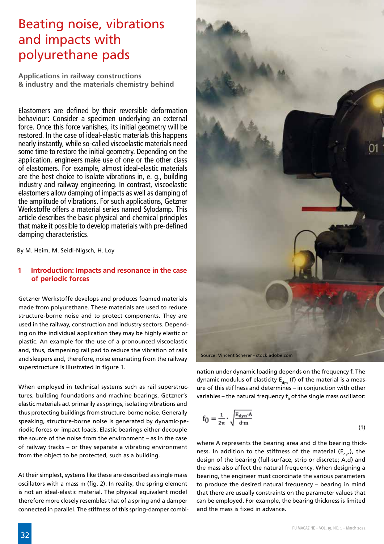## Beating noise, vibrations and impacts with polyurethane pads

**Applications in railway constructions & industry and the materials chemistry behind**

Elastomers are defined by their reversible deformation behaviour: Consider a specimen underlying an external force. Once this force vanishes, its initial geometry will be restored. In the case of ideal-elastic materials this happens nearly instantly, while so-called viscoelastic materials need some time to restore the initial geometry. Depending on the application, engineers make use of one or the other class of elastomers. For example, almost ideal-elastic materials are the best choice to isolate vibrations in, e. g., building industry and railway engineering. In contrast, viscoelastic elastomers allow damping of impacts as well as damping of the amplitude of vibrations. For such applications, Getzner Werkstoffe offers a material series named Sylodamp. This article describes the basic physical and chemical principles that make it possible to develop materials with pre-defined damping characteristics.

By M. Heim, M. Seidl-Nigsch, H. Loy

## **1 Introduction: Impacts and resonance in the case of periodic forces**

Getzner Werkstoffe develops and produces foamed materials made from polyurethane. These materials are used to reduce structure-borne noise and to protect components. They are used in the railway, construction and industry sectors. Depending on the individual application they may be highly elastic or plastic. An example for the use of a pronounced viscoelastic and, thus, dampening rail pad to reduce the vibration of rails and sleepers and, therefore, noise emanating from the railway superstructure is illustrated in figure 1.

When employed in technical systems such as rail superstructures, building foundations and machine bearings, Getzner's elastic materials act primarily as springs, isolating vibrations and thus protecting buildings from structure-borne noise. Generally speaking, structure-borne noise is generated by dynamic-periodic forces or impact loads. Elastic bearings either decouple the source of the noise from the environment – as in the case of railway tracks – or they separate a vibrating environment from the object to be protected, such as a building.

At their simplest, systems like these are described as single mass oscillators with a mass m (fig. 2). In reality, the spring element is not an ideal-elastic material. The physical equivalent model therefore more closely resembles that of a spring and a damper connected in parallel. The stiffness of this spring-damper combi-



nation under dynamic loading depends on the frequency f. The dynamic modulus of elasticity  $E_{dyn}$  (f) of the material is a measure of this stiffness and determines – in conjunction with other variables – the natural frequency  $\mathsf{f}_{\mathsf{o}}$  of the single mass oscillator:

$$
f_0 = \frac{1}{2\pi} \cdot \sqrt{\frac{E_{dyn} \cdot A}{d \cdot m}}
$$
 (1)

where A represents the bearing area and d the bearing thickness. In addition to the stiffness of the material ( $E_{dyn}$ ), the design of the bearing (full-surface, strip or discrete; A,d) and the mass also affect the natural frequency. When designing a bearing, the engineer must coordinate the various parameters to produce the desired natural frequency – bearing in mind that there are usually constraints on the parameter values that can be employed. For example, the bearing thickness is limited and the mass is fixed in advance.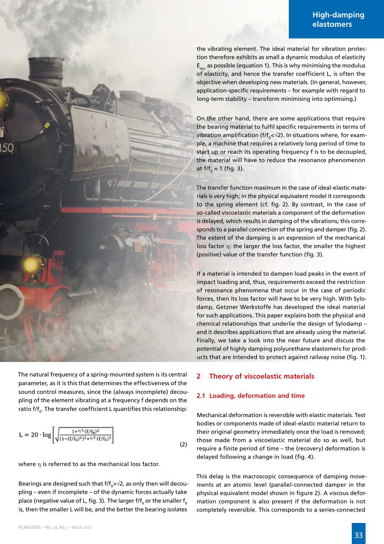the vibrating element. The ideal material for vibration protection therefore exhibits as small a dynamic modulus of elasticity  $E_{dyn}$  as possible (equation 1). This is why minimising the modulus of elasticity, and hence the transfer coefficient L, is often the objective when developing new materials. (In general, however, application-specific requirements – for example with regard to long-term stability – transform minimising into optimising.)

On the other hand, there are some applications that require the bearing material to fulfil specific requirements in terms of vibration amplification (f/f<sub>0</sub>< $\sqrt{2}$ ). In situations where, for example, a machine that requires a relatively long period of time to start up or reach its operating frequency f is to be decoupled, the material will have to reduce the resonance phenomenon at f/f<sub>0</sub> = 1 (fig. 3).

The transfer function maximum in the case of ideal-elastic materials is very high; in the physical equivalent model it corresponds to the spring element (cf. fig. 2). By contrast, in the case of so-called viscoelastic materials a component of the deformation is delayed, which results in damping of the vibrations; this corresponds to a parallel connection of the spring and damper (fig. 2). The extent of the damping is an expression of the mechanical loss factor η: the larger the loss factor, the smaller the highest (positive) value of the transfer function (fig. 3).

If a material is intended to dampen load peaks in the event of impact loading and, thus, requirements exceed the restriction of resonance phenomena that occur in the case of periodic forces, then its loss factor will have to be very high. With Sylodamp, Getzner Werkstoffe has developed the ideal material for such applications. This paper explains both the physical and chemical relationships that underlie the design of Sylodamp – and it describes applications that are already using the material. Finally, we take a look into the near future and discuss the potential of highly damping polyurethane elastomers for products that are intended to protect against railway noise (fig. 1).

## **2 Theory of viscoelastic materials**

## **2.1 Loading, deformation and time**

Mechanical deformation is reversible with elastic materials. Test bodies or components made of ideal-elastic material return to their original geometry immediately once the load is removed; those made from a viscoelastic material do so as well, but require a finite period of time – the (recovery) deformation is delayed following a change in load (fig. 4).

This delay is the macroscopic consequence of damping movements at an atomic level (parallel-connected damper in the physical equivalent model shown in figure 2). A viscous deformation component is also present if the deformation is not completely reversible. This corresponds to a series-connected

The natural frequency of a spring-mounted system is its central parameter, as it is this that determines the effectiveness of the sound control measures, since the (always incomplete) decoupling of the element vibrating at a frequency f depends on the ratio  $f/f_{0}$ . The transfer coefficient L quantifies this relationship:

$$
L = 20 \cdot \log \left[ \sqrt{\frac{1 + \eta^2 \cdot (f/f_0)^2}{(1 - (f/f_0)^2)^2 + \eta^2 \cdot (f/f_0)^2}} \right]
$$
(2)

where η is referred to as the mechanical loss factor.

Bearings are designed such that f/f<sub>0</sub>>√2, as only then will decoupling – even if incomplete – of the dynamic forces actually take place (negative value of L, fig. 3). The larger f/f $_{_0}$  or the smaller  $\mathsf{f}_{_{0}}$ is, then the smaller L will be, and the better the bearing isolates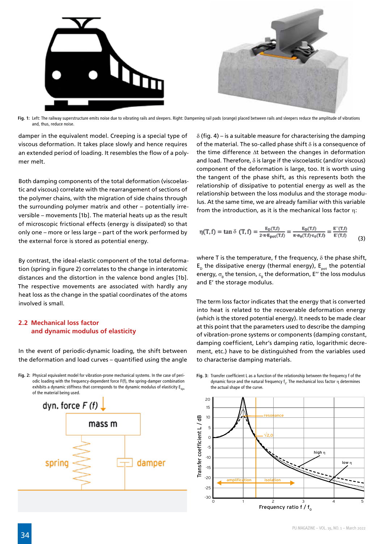

**Fig. 1:** Left: The railway superstructure emits noise due to vibrating rails and sleepers. Right: Dampening rail pads (orange) placed between rails and sleepers reduce the amplitude of vibrations and, thus, reduce noise.

damper in the equivalent model. Creeping is a special type of viscous deformation. It takes place slowly and hence requires an extended period of loading. It resembles the flow of a polymer melt.

Both damping components of the total deformation (viscoelastic and viscous) correlate with the rearrangement of sections of the polymer chains, with the migration of side chains through the surrounding polymer matrix and other – potentially irreversible – movements [1b]. The material heats up as the result of microscopic frictional effects (energy is dissipated) so that only one – more or less large – part of the work performed by the external force is stored as potential energy.

By contrast, the ideal-elastic component of the total deformation (spring in figure 2) correlates to the change in interatomic distances and the distortion in the valence bond angles [1b]. The respective movements are associated with hardly any heat loss as the change in the spatial coordinates of the atoms involved is small.

## **2.2 Mechanical loss factor and dynamic modulus of elasticity**

In the event of periodic-dynamic loading, the shift between the deformation and load curves – quantified using the angle

**Fig. 2:** Physical equivalent model for vibration-prone mechanical systems. In the case of periodic loading with the frequency-dependent force F(f), the spring-damper combination exhibits a dynamic stiffness that corresponds to the dynamic modulus of elasticity  $E_{\text{max}}$ of the material being used.



 $\delta$  (fig. 4) – is a suitable measure for characterising the damping of the material. The so-called phase shift  $\delta$  is a consequence of the time difference ∆t between the changes in deformation and load. Therefore,  $\delta$  is large if the viscoelastic (and/or viscous) component of the deformation is large, too. It is worth using the tangent of the phase shift, as this represents both the relationship of dissipative to potential energy as well as the relationship between the loss modulus and the storage modulus. At the same time, we are already familiar with this variable from the introduction, as it is the mechanical loss factor n:

$$
\eta(T, f) = \tan \delta(T, f) = \frac{\mathbb{E}_{D}(T, f)}{2 \cdot \pi \cdot \mathbb{E}_{pot}(T, f)} = \frac{\mathbb{E}_{D}(T, f)}{\pi \cdot \sigma_{0}(T, f) \cdot \mathbb{E}_{0}(T, f)} = \frac{\mathbb{E}^{\prime}(T, f)}{\mathbb{E}^{\prime}(T, f)} \tag{3}
$$

where T is the temperature, f the frequency, δ the phase shift,  $E_{\text{p}}$  the dissipative energy (thermal energy),  $E_{\text{pot}}$  the potential energy,  $\sigma_{_{\! 0}}$  the tension,  $\varepsilon_{_{\! 0}}$  the deformation, E'' the loss modulus and E' the storage modulus.

The term loss factor indicates that the energy that is converted into heat is related to the recoverable deformation energy (which is the stored potential energy). It needs to be made clear at this point that the parameters used to describe the damping of vibration-prone systems or components (damping constant, damping coefficient, Lehr's damping ratio, logarithmic decrement, etc.) have to be distinguished from the variables used to characterise damping materials.

**Fig. 3:** Transfer coefficient L as a function of the relationship between the frequency f of the dynamic force and the natural frequency  $f_o$ . The mechanical loss factor  $\eta$  determines the actual shape of the curve.

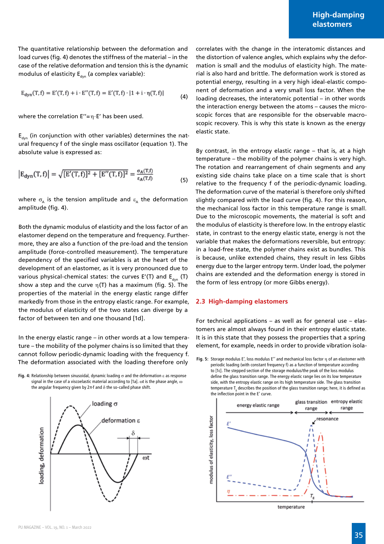The quantitative relationship between the deformation and load curves (fig. 4) denotes the stiffness of the material – in the case of the relative deformation and tension this is the dynamic modulus of elasticity  $E_{dyn}$  (a complex variable):

$$
E_{dyn}(T, f) = E'(T, f) + i \cdot E''(T, f) = E'(T, f) \cdot |1 + i \cdot \eta(T, f)|
$$
\n(4)

where the correlation  $E''= \eta \cdot E'$  has been used.

 $E_{dyn}$  (in conjunction with other variables) determines the natural frequency f of the single mass oscillator (equation 1). The absolute value is expressed as:

$$
|E_{dyn}(T,f)| = \sqrt{[E'(T,f)]^2 + [E''(T,f)]^2} = \frac{\sigma_A(T,f)}{\epsilon_A(T,f)}
$$
(5)

where  $\sigma_A$  is the tension amplitude and  $\varepsilon_A$  the deformation amplitude (fig. 4).

Both the dynamic modulus of elasticity and the loss factor of an elastomer depend on the temperature and frequency. Furthermore, they are also a function of the pre-load and the tension amplitude (force-controlled measurement). The temperature dependency of the specified variables is at the heart of the development of an elastomer, as it is very pronounced due to various physical-chemical states: the curves E'(T) and  $E_{dyn}$  (T) show a step and the curve  $\eta(T)$  has a maximum (fig. 5). The properties of the material in the energy elastic range differ markedly from those in the entropy elastic range. For example, the modulus of elasticity of the two states can diverge by a factor of between ten and one thousand [1d].

In the energy elastic range – in other words at a low temperature – the mobility of the polymer chains is so limited that they cannot follow periodic-dynamic loading with the frequency f. The deformation associated with the loading therefore only

**Fig. 4:** Relationship between sinusoidal, dynamic loading σ and the deformation ε as response signal in the case of a viscoelastic material according to [1a].  $\omega$ t is the phase angle,  $\omega$ the angular frequency given by 2π∙f and δ the so-called phase shift.



correlates with the change in the interatomic distances and the distortion of valence angles, which explains why the deformation is small and the modulus of elasticity high. The material is also hard and brittle. The deformation work is stored as potential energy, resulting in a very high ideal-elastic component of deformation and a very small loss factor. When the loading decreases, the interatomic potential – in other words the interaction energy between the atoms – causes the microscopic forces that are responsible for the observable macroscopic recovery. This is why this state is known as the energy elastic state.

By contrast, in the entropy elastic range – that is, at a high temperature – the mobility of the polymer chains is very high. The rotation and rearrangement of chain segments and any existing side chains take place on a time scale that is short relative to the frequency f of the periodic-dynamic loading. The deformation curve of the material is therefore only shifted slightly compared with the load curve (fig. 4). For this reason, the mechanical loss factor in this temperature range is small. Due to the microscopic movements, the material is soft and the modulus of elasticity is therefore low. In the entropy elastic state, in contrast to the energy elastic state, energy is not the variable that makes the deformations reversible, but entropy: in a load-free state, the polymer chains exist as bundles. This is because, unlike extended chains, they result in less Gibbs energy due to the larger entropy term. Under load, the polymer chains are extended and the deformation energy is stored in the form of less entropy (or more Gibbs energy).

#### **2.3 High-damping elastomers**

For technical applications – as well as for general use – elastomers are almost always found in their entropy elastic state. It is in this state that they possess the properties that a spring element, for example, needs in order to provide vibration isola-

**Fig. 5:** Storage modulus E', loss modulus E'' and mechanical loss factor η of an elastomer with periodic loading (with constant frequency f) as a function of temperature according to [1c]. The stepped section of the storage modulus/the peak of the loss modulus define the glass transition range. The energy elastic range lies on its low temperature side, with the entropy elastic range on its high temperature side. The glass transition temperature  $T_g$  describes the position of the glass transition range; here, it is defined as the inflection point in the E' curve.

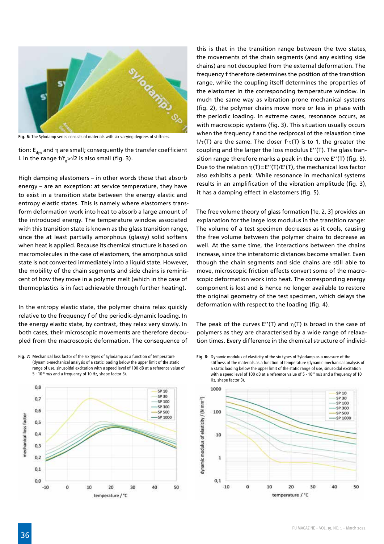

**Fig. 6:** The Sylodamp series consists of materials with six varying degrees of stiffness.

tion:  $E_{dyn}$  and  $\eta$  are small; consequently the transfer coefficient L in the range f/f<sub>0</sub>> $\sqrt{2}$  is also small (fig. 3).

High damping elastomers – in other words those that absorb energy – are an exception: at service temperature, they have to exist in a transition state between the energy elastic and entropy elastic states. This is namely where elastomers transform deformation work into heat to absorb a large amount of the introduced energy. The temperature window associated with this transition state is known as the glass transition range, since the at least partially amorphous (glassy) solid softens when heat is applied. Because its chemical structure is based on macromolecules in the case of elastomers, the amorphous solid state is not converted immediately into a liquid state. However, the mobility of the chain segments and side chains is reminiscent of how they move in a polymer melt (which in the case of thermoplastics is in fact achievable through further heating).

In the entropy elastic state, the polymer chains relax quickly relative to the frequency f of the periodic-dynamic loading. In the energy elastic state, by contrast, they relax very slowly. In both cases, their microscopic movements are therefore decoupled from the macroscopic deformation. The consequence of

**Fig. 7:** Mechanical loss factor of the six types of Sylodamp as a function of temperature (dynamic-mechanical analysis of a static loading below the upper limit of the static range of use, sinusoidal excitation with a speed level of 100 dB at a reference value of 5 ∙ 10-8 m/s and a frequency of 10 Hz, shape factor 3).



this is that in the transition range between the two states, the movements of the chain segments (and any existing side chains) are not decoupled from the external deformation. The frequency f therefore determines the position of the transition range, while the coupling itself determines the properties of the elastomer in the corresponding temperature window. In much the same way as vibration-prone mechanical systems (fig. 2), the polymer chains move more or less in phase with the periodic loading. In extreme cases, resonance occurs, as with macroscopic systems (fig. 3). This situation usually occurs when the frequency f and the reciprocal of the relaxation time  $1/\tau(T)$  are the same. The closer f $\tau(T)$  is to 1, the greater the coupling and the larger the loss modulus E''(T). The glass transition range therefore marks a peak in the curve E''(T) (fig. 5). Due to the relation  $\eta(T)=E''(T)/E'(T)$ , the mechanical loss factor also exhibits a peak. While resonance in mechanical systems results in an amplification of the vibration amplitude (fig. 3), it has a damping effect in elastomers (fig. 5).

The free volume theory of glass formation [1e, 2, 3] provides an explanation for the large loss modulus in the transition range: The volume of a test specimen decreases as it cools, causing the free volume between the polymer chains to decrease as well. At the same time, the interactions between the chains increase, since the interatomic distances become smaller. Even though the chain segments and side chains are still able to move, microscopic friction effects convert some of the macroscopic deformation work into heat. The corresponding energy component is lost and is hence no longer available to restore the original geometry of the test specimen, which delays the deformation with respect to the loading (fig. 4).

The peak of the curves E"(T) and  $\eta(T)$  is broad in the case of polymers as they are characterised by a wide range of relaxation times. Every difference in the chemical structure of individ-

**Fig. 8:** Dynamic modulus of elasticity of the six types of Sylodamp as a measure of the stiffness of the materials as a function of temperature (dynamic-mechanical analysis of a static loading below the upper limit of the static range of use, sinusoidal excitation with a speed level of 100 dB at a reference value of 5 ⋅ 10<sup>-8</sup> m/s and a frequency of 10 Hz, shape factor 3).

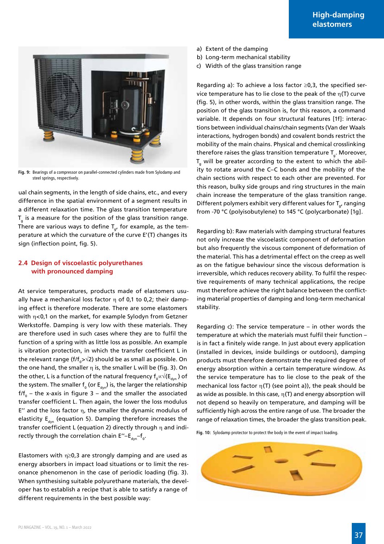

**Fig. 9:** Bearings of a compressor on parallel-connected cylinders made from Sylodamp and steel springs, respectively.

ual chain segments, in the length of side chains, etc., and every difference in the spatial environment of a segment results in a different relaxation time. The glass transition temperature  $T_{g}$  is a measure for the position of the glass transition range. There are various ways to define  $T_{\alpha}$ , for example, as the temperature at which the curvature of the curve E'(T) changes its sign (inflection point, fig. 5).

#### **2.4 Design of viscoelastic polyurethanes with pronounced damping**

At service temperatures, products made of elastomers usually have a mechanical loss factor  $\eta$  of 0,1 to 0,2; their damping effect is therefore moderate. There are some elastomers with η<0,1 on the market, for example Sylodyn from Getzner Werkstoffe. Damping is very low with these materials. They are therefore used in such cases where they are to fulfil the function of a spring with as little loss as possible. An example is vibration protection, in which the transfer coefficient L in the relevant range (f/f<sub>0</sub>>√2) should be as small as possible. On the one hand, the smaller  $\eta$  is, the smaller L will be (fig. 3). On the other, L is a function of the natural frequency  $\mathsf{f}_{\mathsf{0}}{\propto}\vee(\mathsf{E}_{\mathsf{dyn}})$  of the system. The smaller  $\mathsf{f}_{_{0}}$  (or  $\mathsf{E}_{_{\sf dyn}}$ ) is, the larger the relationship f/f $_{\rm 0}$  – the x-axis in figure 3 – and the smaller the associated transfer coefficient L. Then again, the lower the loss modulus E" and the loss factor  $η$ , the smaller the dynamic modulus of elasticity  $E_{dyn}$  (equation 5). Damping therefore increases the transfer coefficient L (equation 2) directly through η and indirectly through the correlation chain  $E''-E_{dyn}-f_{0}$ .

Elastomers with  $\eta \geq 0.3$  are strongly damping and are used as energy absorbers in impact load situations or to limit the resonance phenomenon in the case of periodic loading (fig. 3). When synthesising suitable polyurethane materials, the developer has to establish a recipe that is able to satisfy a range of different requirements in the best possible way:

- a) Extent of the damping
- b) Long-term mechanical stability
- c) Width of the glass transition range

Regarding a): To achieve a loss factor  $\geq 0.3$ , the specified service temperature has to lie close to the peak of the  $\eta(T)$  curve (fig. 5), in other words, within the glass transition range. The position of the glass transition is, for this reason, a command variable. It depends on four structural features [1f]: interactions between individual chains/chain segments (Van der Waals interactions, hydrogen bonds) and covalent bonds restrict the mobility of the main chains. Physical and chemical crosslinking therefore raises the glass transition temperature  $T_{g}$ . Moreover,  $T_{g}$  will be greater according to the extent to which the ability to rotate around the C–C bonds and the mobility of the chain sections with respect to each other are prevented. For this reason, bulky side groups and ring structures in the main chain increase the temperature of the glass transition range. Different polymers exhibit very different values for  $T_{g}$ , ranging from -70 °C (polyisobutylene) to 145 °C (polycarbonate) [1g].

Regarding b): Raw materials with damping structural features not only increase the viscoelastic component of deformation but also frequently the viscous component of deformation of the material. This has a detrimental effect on the creep as well as on the fatigue behaviour since the viscous deformation is irreversible, which reduces recovery ability. To fulfil the respective requirements of many technical applications, the recipe must therefore achieve the right balance between the conflicting material properties of damping and long-term mechanical stability.

Regarding c): The service temperature – in other words the temperature at which the materials must fulfil their function – is in fact a finitely wide range. In just about every application (installed in devices, inside buildings or outdoors), damping products must therefore demonstrate the required degree of energy absorption within a certain temperature window. As the service temperature has to lie close to the peak of the mechanical loss factor  $\eta(T)$  (see point a)), the peak should be as wide as possible. In this case,  $\eta(T)$  and energy absorption will not depend so heavily on temperature, and damping will be sufficiently high across the entire range of use. The broader the range of relaxation times, the broader the glass transition peak.

**Fig. 10:** Sylodamp protector to protect the body in the event of impact loading.

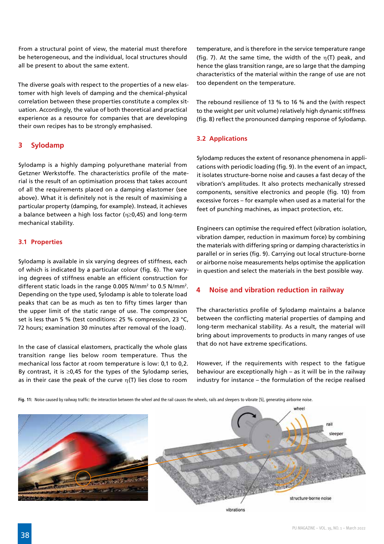From a structural point of view, the material must therefore be heterogeneous, and the individual, local structures should all be present to about the same extent.

The diverse goals with respect to the properties of a new elastomer with high levels of damping and the chemical-physical correlation between these properties constitute a complex situation. Accordingly, the value of both theoretical and practical experience as a resource for companies that are developing their own recipes has to be strongly emphasised.

## **3 Sylodamp**

Sylodamp is a highly damping polyurethane material from Getzner Werkstoffe. The characteristics profile of the material is the result of an optimisation process that takes account of all the requirements placed on a damping elastomer (see above). What it is definitely not is the result of maximising a particular property (damping, for example). Instead, it achieves a balance between a high loss factor (η≥0,45) and long-term mechanical stability.

## **3.1 Properties**

Sylodamp is available in six varying degrees of stiffness, each of which is indicated by a particular colour (fig. 6). The varying degrees of stiffness enable an efficient construction for different static loads in the range 0.005 N/mm<sup>2</sup> to 0.5 N/mm<sup>2</sup>. Depending on the type used, Sylodamp is able to tolerate load peaks that can be as much as ten to fifty times larger than the upper limit of the static range of use. The compression set is less than 5 % (test conditions: 25 % compression, 23 °C, 72 hours; examination 30 minutes after removal of the load).

In the case of classical elastomers, practically the whole glass transition range lies below room temperature. Thus the mechanical loss factor at room temperature is low: 0,1 to 0,2. By contrast, it is  $\geq 0.45$  for the types of the Sylodamp series, as in their case the peak of the curve  $\eta(T)$  lies close to room

temperature, and is therefore in the service temperature range (fig. 7). At the same time, the width of the  $\eta(T)$  peak, and hence the glass transition range, are so large that the damping characteristics of the material within the range of use are not too dependent on the temperature.

The rebound resilience of 13 % to 16 % and the (with respect to the weight per unit volume) relatively high dynamic stiffness (fig. 8) reflect the pronounced damping response of Sylodamp.

## **3.2 Applications**

Sylodamp reduces the extent of resonance phenomena in applications with periodic loading (fig. 9). In the event of an impact, it isolates structure-borne noise and causes a fast decay of the vibration's amplitudes. It also protects mechanically stressed components, sensitive electronics and people (fig. 10) from excessive forces – for example when used as a material for the feet of punching machines, as impact protection, etc.

Engineers can optimise the required effect (vibration isolation, vibration damper, reduction in maximum force) by combining the materials with differing spring or damping characteristics in parallel or in series (fig. 9). Carrying out local structure-borne or airborne noise measurements helps optimise the application in question and select the materials in the best possible way.

## **4 Noise and vibration reduction in railway**

The characteristics profile of Sylodamp maintains a balance between the conflicting material properties of damping and long-term mechanical stability. As a result, the material will bring about improvements to products in many ranges of use that do not have extreme specifications.

However, if the requirements with respect to the fatigue behaviour are exceptionally high – as it will be in the railway industry for instance – the formulation of the recipe realised

**Fig. 11:** Noise caused by railway traffic: the interaction between the wheel and the rail causes the wheels, rails and sleepers to vibrate [5], generating airborne noise.



whoo rail structure-borne noise

vibrations